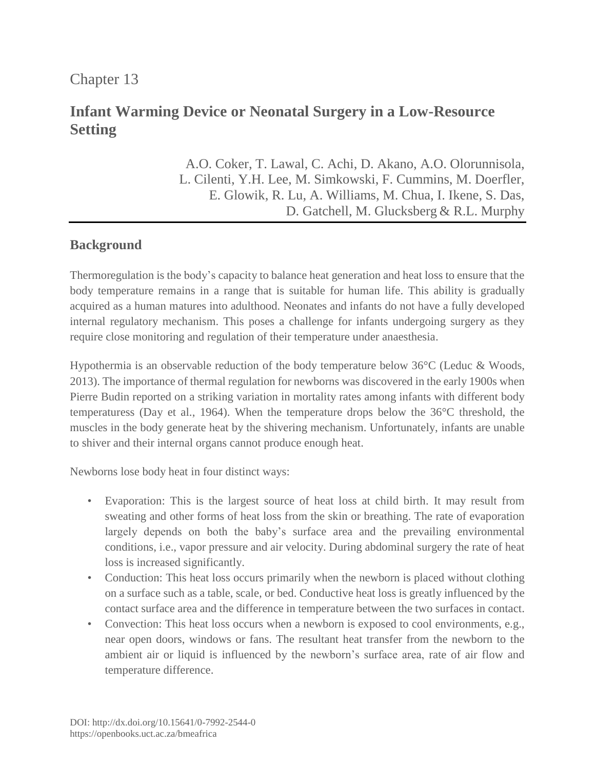Chapter 13

# **Infant Warming Device or Neonatal Surgery in a Low-Resource Setting**

A.O. Coker, T. Lawal, C. Achi, D. Akano, A.O. Olorunnisola, L. Cilenti, Y.H. Lee, M. Simkowski, F. Cummins, M. Doerfler, E. Glowik, R. Lu, A. Williams, M. Chua, I. Ikene, S. Das, D. Gatchell, M. Glucksberg & R.L. Murphy

# **Background**

Thermoregulation is the body's capacity to balance heat generation and heat loss to ensure that the body temperature remains in a range that is suitable for human life. This ability is gradually acquired as a human matures into adulthood. Neonates and infants do not have a fully developed internal regulatory mechanism. This poses a challenge for infants undergoing surgery as they require close monitoring and regulation of their temperature under anaesthesia.

Hypothermia is an observable reduction of the body temperature below 36°C (Leduc & Woods, 2013). The importance of thermal regulation for newborns was discovered in the early 1900s when Pierre Budin reported on a striking variation in mortality rates among infants with different body temperaturess (Day et al., 1964). When the temperature drops below the 36°C threshold, the muscles in the body generate heat by the shivering mechanism. Unfortunately, infants are unable to shiver and their internal organs cannot produce enough heat.

Newborns lose body heat in four distinct ways:

- Evaporation: This is the largest source of heat loss at child birth. It may result from sweating and other forms of heat loss from the skin or breathing. The rate of evaporation largely depends on both the baby's surface area and the prevailing environmental conditions, i.e., vapor pressure and air velocity. During abdominal surgery the rate of heat loss is increased significantly.
- Conduction: This heat loss occurs primarily when the newborn is placed without clothing on a surface such as a table, scale, or bed. Conductive heat loss is greatly influenced by the contact surface area and the difference in temperature between the two surfaces in contact.
- Convection: This heat loss occurs when a newborn is exposed to cool environments, e.g., near open doors, windows or fans. The resultant heat transfer from the newborn to the ambient air or liquid is influenced by the newborn's surface area, rate of air flow and temperature difference.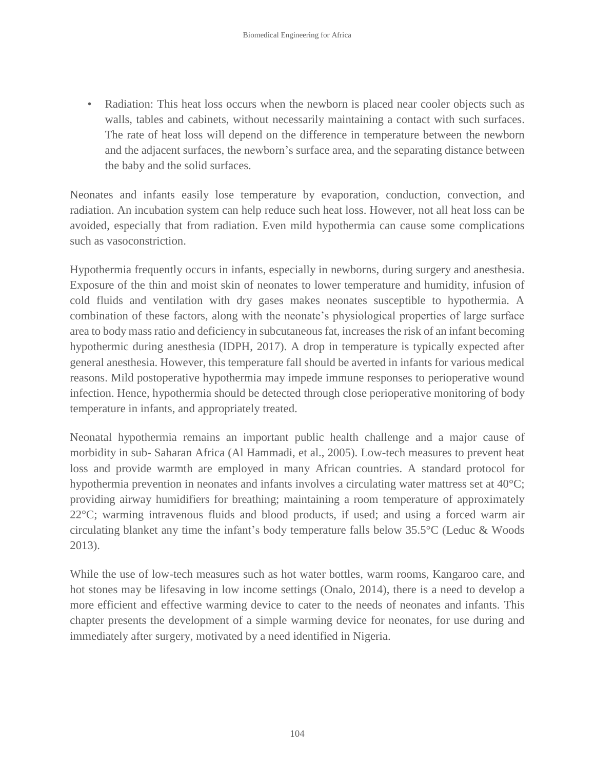• Radiation: This heat loss occurs when the newborn is placed near cooler objects such as walls, tables and cabinets, without necessarily maintaining a contact with such surfaces. The rate of heat loss will depend on the difference in temperature between the newborn and the adjacent surfaces, the newborn's surface area, and the separating distance between the baby and the solid surfaces.

Neonates and infants easily lose temperature by evaporation, conduction, convection, and radiation. An incubation system can help reduce such heat loss. However, not all heat loss can be avoided, especially that from radiation. Even mild hypothermia can cause some complications such as vasoconstriction.

Hypothermia frequently occurs in infants, especially in newborns, during surgery and anesthesia. Exposure of the thin and moist skin of neonates to lower temperature and humidity, infusion of cold fluids and ventilation with dry gases makes neonates susceptible to hypothermia. A combination of these factors, along with the neonate's physiological properties of large surface area to body mass ratio and deficiency in subcutaneous fat, increases the risk of an infant becoming hypothermic during anesthesia (IDPH, 2017). A drop in temperature is typically expected after general anesthesia. However, this temperature fall should be averted in infants for various medical reasons. Mild postoperative hypothermia may impede immune responses to perioperative wound infection. Hence, hypothermia should be detected through close perioperative monitoring of body temperature in infants, and appropriately treated.

Neonatal hypothermia remains an important public health challenge and a major cause of morbidity in sub- Saharan Africa (Al Hammadi, et al., 2005). Low-tech measures to prevent heat loss and provide warmth are employed in many African countries. A standard protocol for hypothermia prevention in neonates and infants involves a circulating water mattress set at 40°C; providing airway humidifiers for breathing; maintaining a room temperature of approximately 22°C; warming intravenous fluids and blood products, if used; and using a forced warm air circulating blanket any time the infant's body temperature falls below 35.5°C (Leduc & Woods 2013).

While the use of low-tech measures such as hot water bottles, warm rooms, Kangaroo care, and hot stones may be lifesaving in low income settings (Onalo, 2014), there is a need to develop a more efficient and effective warming device to cater to the needs of neonates and infants. This chapter presents the development of a simple warming device for neonates, for use during and immediately after surgery, motivated by a need identified in Nigeria.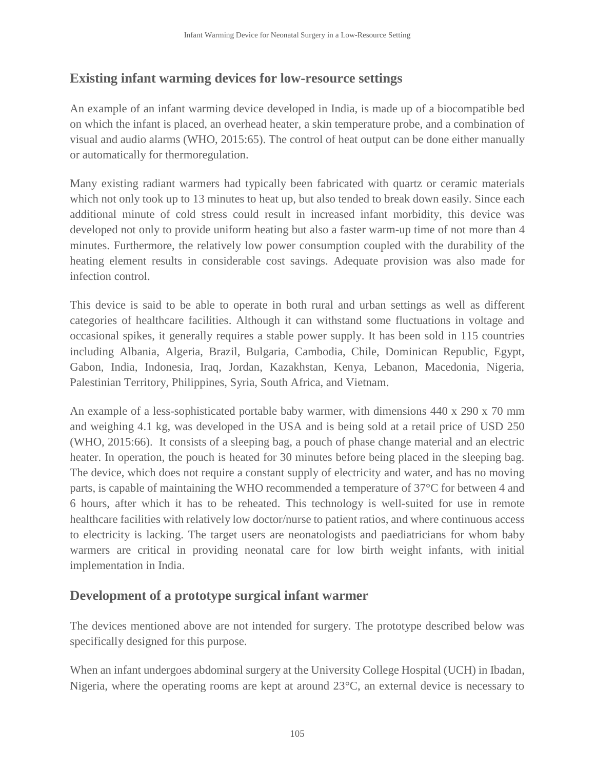# **Existing infant warming devices for low-resource settings**

An example of an infant warming device developed in India, is made up of a biocompatible bed on which the infant is placed, an overhead heater, a skin temperature probe, and a combination of visual and audio alarms (WHO, 2015:65). The control of heat output can be done either manually or automatically for thermoregulation.

Many existing radiant warmers had typically been fabricated with quartz or ceramic materials which not only took up to 13 minutes to heat up, but also tended to break down easily. Since each additional minute of cold stress could result in increased infant morbidity, this device was developed not only to provide uniform heating but also a faster warm-up time of not more than 4 minutes. Furthermore, the relatively low power consumption coupled with the durability of the heating element results in considerable cost savings. Adequate provision was also made for infection control.

This device is said to be able to operate in both rural and urban settings as well as different categories of healthcare facilities. Although it can withstand some fluctuations in voltage and occasional spikes, it generally requires a stable power supply. It has been sold in 115 countries including Albania, Algeria, Brazil, Bulgaria, Cambodia, Chile, Dominican Republic, Egypt, Gabon, India, Indonesia, Iraq, Jordan, Kazakhstan, Kenya, Lebanon, Macedonia, Nigeria, Palestinian Territory, Philippines, Syria, South Africa, and Vietnam.

An example of a less-sophisticated portable baby warmer, with dimensions 440 x 290 x 70 mm and weighing 4.1 kg, was developed in the USA and is being sold at a retail price of USD 250 (WHO, 2015:66). It consists of a sleeping bag, a pouch of phase change material and an electric heater. In operation, the pouch is heated for 30 minutes before being placed in the sleeping bag. The device, which does not require a constant supply of electricity and water, and has no moving parts, is capable of maintaining the WHO recommended a temperature of 37°C for between 4 and 6 hours, after which it has to be reheated. This technology is well-suited for use in remote healthcare facilities with relatively low doctor/nurse to patient ratios, and where continuous access to electricity is lacking. The target users are neonatologists and paediatricians for whom baby warmers are critical in providing neonatal care for low birth weight infants, with initial implementation in India.

# **Development of a prototype surgical infant warmer**

The devices mentioned above are not intended for surgery. The prototype described below was specifically designed for this purpose.

When an infant undergoes abdominal surgery at the University College Hospital (UCH) in Ibadan, Nigeria, where the operating rooms are kept at around 23°C, an external device is necessary to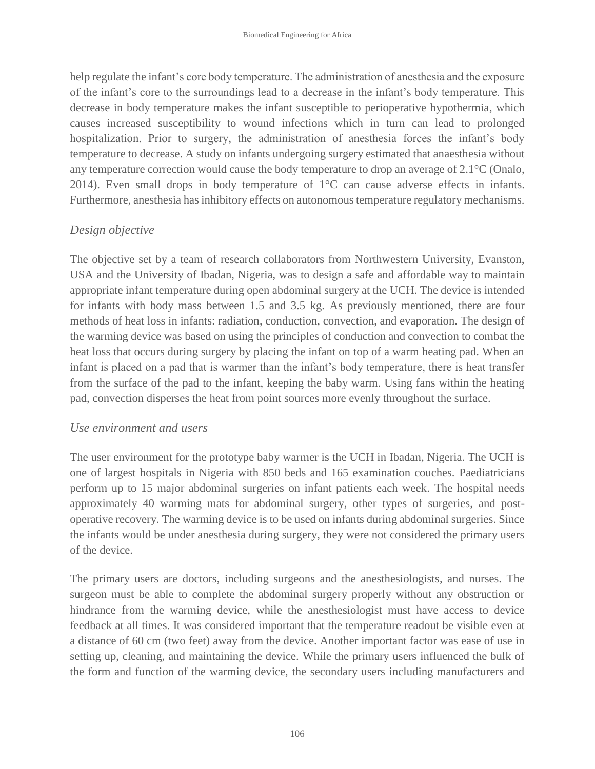help regulate the infant's core body temperature. The administration of anesthesia and the exposure of the infant's core to the surroundings lead to a decrease in the infant's body temperature. This decrease in body temperature makes the infant susceptible to perioperative hypothermia, which causes increased susceptibility to wound infections which in turn can lead to prolonged hospitalization. Prior to surgery, the administration of anesthesia forces the infant's body temperature to decrease. A study on infants undergoing surgery estimated that anaesthesia without any temperature correction would cause the body temperature to drop an average of 2.1°C (Onalo, 2014). Even small drops in body temperature of  $1^{\circ}$ C can cause adverse effects in infants. Furthermore, anesthesia has inhibitory effects on autonomous temperature regulatory mechanisms.

#### *Design objective*

The objective set by a team of research collaborators from Northwestern University, Evanston, USA and the University of Ibadan, Nigeria, was to design a safe and affordable way to maintain appropriate infant temperature during open abdominal surgery at the UCH. The device is intended for infants with body mass between 1.5 and 3.5 kg. As previously mentioned, there are four methods of heat loss in infants: radiation, conduction, convection, and evaporation. The design of the warming device was based on using the principles of conduction and convection to combat the heat loss that occurs during surgery by placing the infant on top of a warm heating pad. When an infant is placed on a pad that is warmer than the infant's body temperature, there is heat transfer from the surface of the pad to the infant, keeping the baby warm. Using fans within the heating pad, convection disperses the heat from point sources more evenly throughout the surface.

#### *Use environment and users*

The user environment for the prototype baby warmer is the UCH in Ibadan, Nigeria. The UCH is one of largest hospitals in Nigeria with 850 beds and 165 examination couches. Paediatricians perform up to 15 major abdominal surgeries on infant patients each week. The hospital needs approximately 40 warming mats for abdominal surgery, other types of surgeries, and postoperative recovery. The warming device is to be used on infants during abdominal surgeries. Since the infants would be under anesthesia during surgery, they were not considered the primary users of the device.

The primary users are doctors, including surgeons and the anesthesiologists, and nurses. The surgeon must be able to complete the abdominal surgery properly without any obstruction or hindrance from the warming device, while the anesthesiologist must have access to device feedback at all times. It was considered important that the temperature readout be visible even at a distance of 60 cm (two feet) away from the device. Another important factor was ease of use in setting up, cleaning, and maintaining the device. While the primary users influenced the bulk of the form and function of the warming device, the secondary users including manufacturers and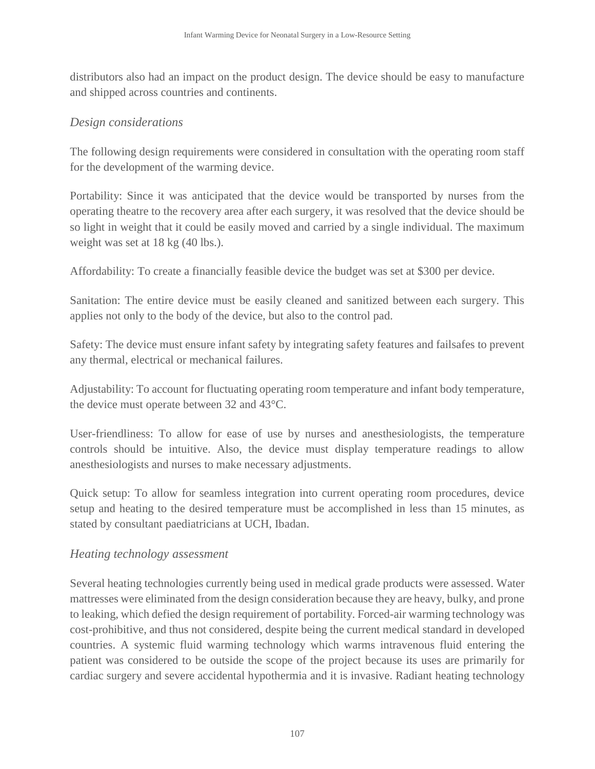distributors also had an impact on the product design. The device should be easy to manufacture and shipped across countries and continents.

#### *Design considerations*

The following design requirements were considered in consultation with the operating room staff for the development of the warming device.

Portability: Since it was anticipated that the device would be transported by nurses from the operating theatre to the recovery area after each surgery, it was resolved that the device should be so light in weight that it could be easily moved and carried by a single individual. The maximum weight was set at 18 kg (40 lbs.).

Affordability: To create a financially feasible device the budget was set at \$300 per device.

Sanitation: The entire device must be easily cleaned and sanitized between each surgery. This applies not only to the body of the device, but also to the control pad.

Safety: The device must ensure infant safety by integrating safety features and failsafes to prevent any thermal, electrical or mechanical failures.

Adjustability: To account for fluctuating operating room temperature and infant body temperature, the device must operate between 32 and 43°C.

User-friendliness: To allow for ease of use by nurses and anesthesiologists, the temperature controls should be intuitive. Also, the device must display temperature readings to allow anesthesiologists and nurses to make necessary adjustments.

Quick setup: To allow for seamless integration into current operating room procedures, device setup and heating to the desired temperature must be accomplished in less than 15 minutes, as stated by consultant paediatricians at UCH, Ibadan.

#### *Heating technology assessment*

Several heating technologies currently being used in medical grade products were assessed. Water mattresses were eliminated from the design consideration because they are heavy, bulky, and prone to leaking, which defied the design requirement of portability. Forced-air warming technology was cost-prohibitive, and thus not considered, despite being the current medical standard in developed countries. A systemic fluid warming technology which warms intravenous fluid entering the patient was considered to be outside the scope of the project because its uses are primarily for cardiac surgery and severe accidental hypothermia and it is invasive. Radiant heating technology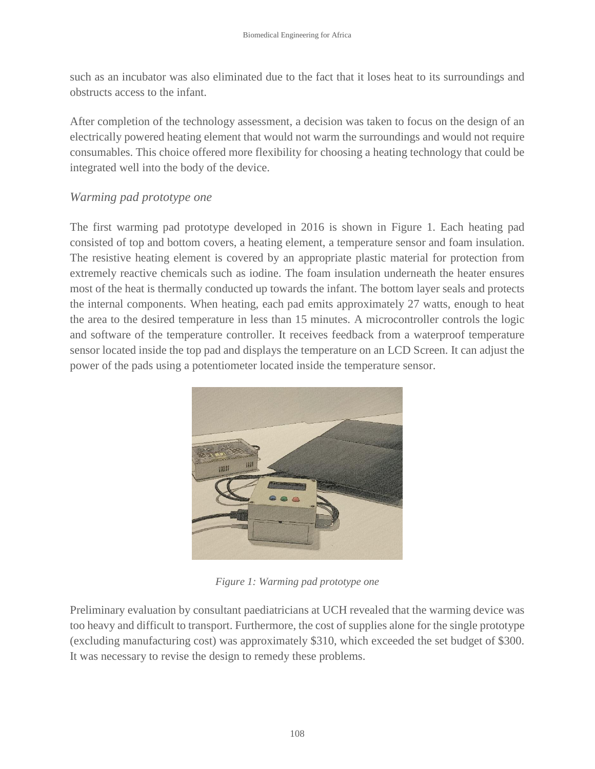such as an incubator was also eliminated due to the fact that it loses heat to its surroundings and obstructs access to the infant.

After completion of the technology assessment, a decision was taken to focus on the design of an electrically powered heating element that would not warm the surroundings and would not require consumables. This choice offered more flexibility for choosing a heating technology that could be integrated well into the body of the device.

### *Warming pad prototype one*

The first warming pad prototype developed in 2016 is shown in Figure 1. Each heating pad consisted of top and bottom covers, a heating element, a temperature sensor and foam insulation. The resistive heating element is covered by an appropriate plastic material for protection from extremely reactive chemicals such as iodine. The foam insulation underneath the heater ensures most of the heat is thermally conducted up towards the infant. The bottom layer seals and protects the internal components. When heating, each pad emits approximately 27 watts, enough to heat the area to the desired temperature in less than 15 minutes. A microcontroller controls the logic and software of the temperature controller. It receives feedback from a waterproof temperature sensor located inside the top pad and displays the temperature on an LCD Screen. It can adjust the power of the pads using a potentiometer located inside the temperature sensor.



*Figure 1: Warming pad prototype one*

Preliminary evaluation by consultant paediatricians at UCH revealed that the warming device was too heavy and difficult to transport. Furthermore, the cost of supplies alone for the single prototype (excluding manufacturing cost) was approximately \$310, which exceeded the set budget of \$300. It was necessary to revise the design to remedy these problems.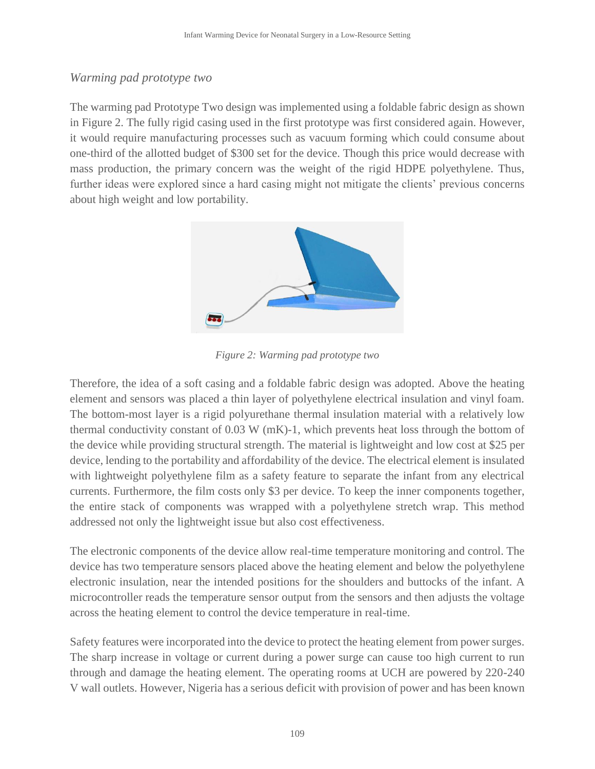### *Warming pad prototype two*

The warming pad Prototype Two design was implemented using a foldable fabric design as shown in Figure 2. The fully rigid casing used in the first prototype was first considered again. However, it would require manufacturing processes such as vacuum forming which could consume about one-third of the allotted budget of \$300 set for the device. Though this price would decrease with mass production, the primary concern was the weight of the rigid HDPE polyethylene. Thus, further ideas were explored since a hard casing might not mitigate the clients' previous concerns about high weight and low portability.



*Figure 2: Warming pad prototype two*

Therefore, the idea of a soft casing and a foldable fabric design was adopted. Above the heating element and sensors was placed a thin layer of polyethylene electrical insulation and vinyl foam. The bottom-most layer is a rigid polyurethane thermal insulation material with a relatively low thermal conductivity constant of 0.03 W (mK)-1, which prevents heat loss through the bottom of the device while providing structural strength. The material is lightweight and low cost at \$25 per device, lending to the portability and affordability of the device. The electrical element is insulated with lightweight polyethylene film as a safety feature to separate the infant from any electrical currents. Furthermore, the film costs only \$3 per device. To keep the inner components together, the entire stack of components was wrapped with a polyethylene stretch wrap. This method addressed not only the lightweight issue but also cost effectiveness.

The electronic components of the device allow real-time temperature monitoring and control. The device has two temperature sensors placed above the heating element and below the polyethylene electronic insulation, near the intended positions for the shoulders and buttocks of the infant. A microcontroller reads the temperature sensor output from the sensors and then adjusts the voltage across the heating element to control the device temperature in real-time.

Safety features were incorporated into the device to protect the heating element from power surges. The sharp increase in voltage or current during a power surge can cause too high current to run through and damage the heating element. The operating rooms at UCH are powered by 220-240 V wall outlets. However, Nigeria has a serious deficit with provision of power and has been known